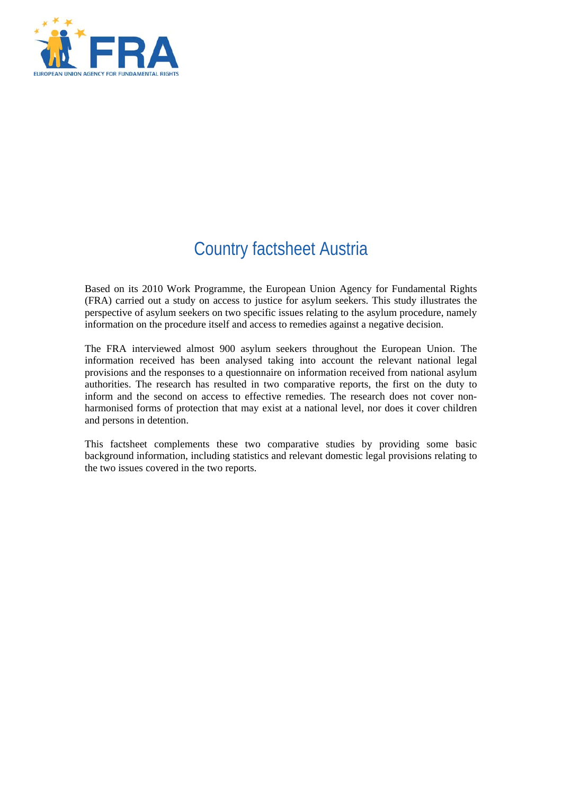

# Country factsheet Austria

Based on its 2010 Work Programme, the European Union Agency for Fundamental Rights (FRA) carried out a study on access to justice for asylum seekers. This study illustrates the perspective of asylum seekers on two specific issues relating to the asylum procedure, namely information on the procedure itself and access to remedies against a negative decision.

The FRA interviewed almost 900 asylum seekers throughout the European Union. The information received has been analysed taking into account the relevant national legal provisions and the responses to a questionnaire on information received from national asylum authorities. The research has resulted in two comparative reports, the first on the duty to inform and the second on access to effective remedies. The research does not cover nonharmonised forms of protection that may exist at a national level, nor does it cover children and persons in detention.

This factsheet complements these two comparative studies by providing some basic background information, including statistics and relevant domestic legal provisions relating to the two issues covered in the two reports.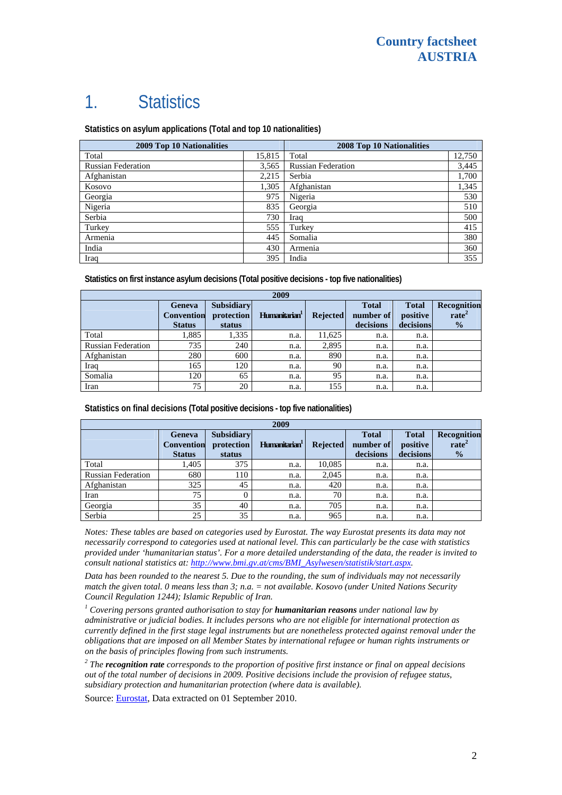# 1. Statistics

**Statistics on asylum applications (Total and top 10 nationalities)**

| 2009 Top 10 Nationalities |        | 2008 Top 10 Nationalities |        |  |
|---------------------------|--------|---------------------------|--------|--|
| Total                     | 15,815 | Total                     | 12,750 |  |
| <b>Russian Federation</b> | 3,565  | <b>Russian Federation</b> | 3,445  |  |
| Afghanistan               | 2,215  | Serbia                    | 1,700  |  |
| Kosovo                    | 1,305  | Afghanistan               | 1,345  |  |
| Georgia                   | 975    | Nigeria                   | 530    |  |
| Nigeria                   | 835    | Georgia                   | 510    |  |
| Serbia                    | 730    | Iraq                      | 500    |  |
| Turkey                    | 555    | Turkey                    | 415    |  |
| Armenia                   | 445    | Somalia                   | 380    |  |
| India                     | 430    | Armenia                   | 360    |  |
| Iraq                      | 395    | India                     | 355    |  |

**Statistics on first instance asylum decisions (Total positive decisions - top five nationalities)** 

| 2009                      |                                              |                                           |                           |                 |                                        |                                       |                                                   |
|---------------------------|----------------------------------------------|-------------------------------------------|---------------------------|-----------------|----------------------------------------|---------------------------------------|---------------------------------------------------|
|                           | Geneva<br><b>Convention</b><br><b>Status</b> | <b>Subsidiary</b><br>protection<br>status | Humanitarian <sup>1</sup> | <b>Rejected</b> | <b>Total</b><br>number of<br>decisions | <b>Total</b><br>positive<br>decisions | Recognition<br>rate <sup>2</sup><br>$\frac{1}{2}$ |
| Total                     | 1,885                                        | 1,335                                     | n.a.                      | 11,625          | n.a.                                   | n.a.                                  |                                                   |
| <b>Russian Federation</b> | 735                                          | 240                                       | n.a.                      | 2,895           | n.a.                                   | n.a.                                  |                                                   |
| Afghanistan               | 280                                          | 600                                       | n.a.                      | 890             | n.a.                                   | n.a.                                  |                                                   |
| Iraq                      | 165                                          | 120                                       | n.a.                      | 90              | n.a.                                   | n.a.                                  |                                                   |
| Somalia                   | 120                                          | 65                                        | n.a.                      | 95              | n.a.                                   | n.a.                                  |                                                   |
| Iran                      | 75                                           | 20                                        | n.a.                      | 155             | n.a.                                   | n.a.                                  |                                                   |

**Statistics on final decisions (Total positive decisions - top five nationalities)** 

| 2009                      |                                                     |                                           |                           |                 |                                        |                                       |                                                   |
|---------------------------|-----------------------------------------------------|-------------------------------------------|---------------------------|-----------------|----------------------------------------|---------------------------------------|---------------------------------------------------|
|                           | <b>Geneva</b><br><b>Convention</b><br><b>Status</b> | <b>Subsidiary</b><br>protection<br>status | Humanitarian <sup>1</sup> | <b>Rejected</b> | <b>Total</b><br>number of<br>decisions | <b>Total</b><br>positive<br>decisions | Recognition<br>rate <sup>2</sup><br>$\frac{0}{0}$ |
| Total                     | 1,405                                               | 375                                       | n.a.                      | 10,085          | n.a.                                   | n.a.                                  |                                                   |
| <b>Russian Federation</b> | 680                                                 | 110                                       | n.a.                      | 2,045           | n.a.                                   | n.a.                                  |                                                   |
| Afghanistan               | 325                                                 | 45                                        | n.a.                      | 420             | n.a.                                   | n.a.                                  |                                                   |
| Iran                      | 75                                                  |                                           | n.a.                      | 70              | n.a.                                   | n.a.                                  |                                                   |
| Georgia                   | 35                                                  | 40                                        | n.a.                      | 705             | n.a.                                   | n.a.                                  |                                                   |
| Serbia                    | 25                                                  | 35                                        | n.a.                      | 965             | n.a.                                   | n.a.                                  |                                                   |

*Notes: These tables are based on categories used by Eurostat. The way Eurostat presents its data may not necessarily correspond to categories used at national level. This can particularly be the case with statistics provided under 'humanitarian status'. For a more detailed understanding of the data, the reader is invited to consult national statistics at: [http://www.bmi.gv.at/cms/BMI\\_Asylwesen/statistik/start.aspx](http://www.bmi.gv.at/cms/BMI_Asylwesen/statistik/start.aspx).* 

*Data has been rounded to the nearest 5. Due to the rounding, the sum of individuals may not necessarily match the given total. 0 means less than 3; n.a. = not available. Kosovo (under United Nations Security Council Regulation 1244); Islamic Republic of Iran.* 

<sup>1</sup> Covering persons granted authorisation to stay for **humanitarian reasons** under national law by *administrative or judicial bodies. It includes persons who are not eligible for international protection as currently defined in the first stage legal instruments but are nonetheless protected against removal under the obligations that are imposed on all Member States by international refugee or human rights instruments or on the basis of principles flowing from such instruments.* 

*2 The recognition rate corresponds to the proportion of positive first instance or final on appeal decisions out of the total number of decisions in 2009. Positive decisions include the provision of refugee status, subsidiary protection and humanitarian protection (where data is available).* 

Source: **[Eurostat](http://epp.eurostat.ec.europa.eu/)**, Data extracted on 01 September 2010.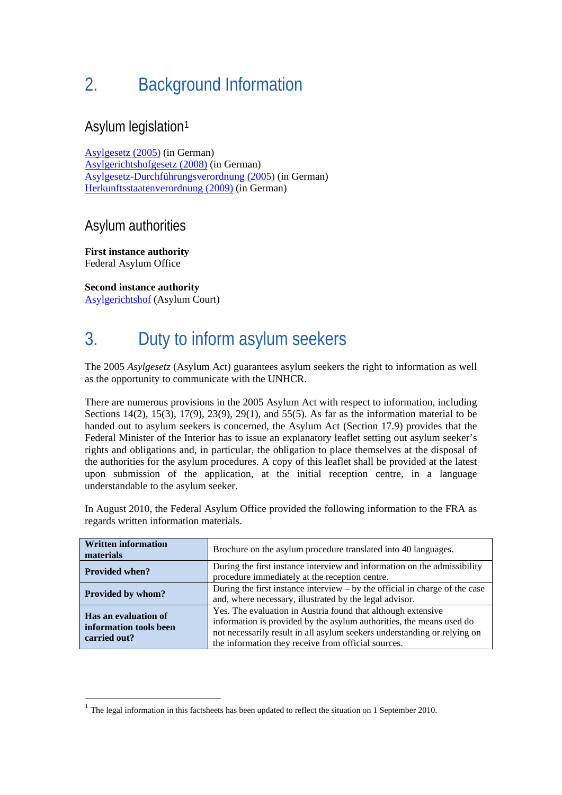# 2. Background Information

### Asylum legislation[1](#page-2-0)

[Asylgesetz \(2005\)](http://www.ris.bka.gv.at/GeltendeFassung.wxe?Abfrage=Bundesnormen&Gesetzesnummer=20004240) (in German) [Asylgerichtshofgesetz \(2008\)](http://www.ris.bka.gv.at/GeltendeFassung.wxe?Abfrage=Bundesnormen&Gesetzesnummer=20005660) (in German) [Asylgesetz-Durchführungsverordnung \(2005\)](http://www.ris.bka.gv.at/GeltendeFassung.wxe?Abfrage=Bundesnormen&Gesetzesnummer=20004467) (in German) [Herkunftsstaatenverordnung \(2009\)](http://www.ris.bka.gv.at/GeltendeFassung.wxe?Abfrage=Bundesnormen&Gesetzesnummer=20006306) (in German)

#### Asylum authorities

**First instance authority**  Federal Asylum Office

l

**Second instance authority**  [Asylgerichtshof](http://www.asylgh.gv.at/) (Asylum Court)

# 3. Duty to inform asylum seekers

The 2005 *Asylgesetz* (Asylum Act) guarantees asylum seekers the right to information as well as the opportunity to communicate with the UNHCR.

There are numerous provisions in the 2005 Asylum Act with respect to information, including Sections 14(2), 15(3), 17(9), 23(9), 29(1), and 55(5). As far as the information material to be handed out to asylum seekers is concerned, the Asylum Act (Section 17.9) provides that the Federal Minister of the Interior has to issue an explanatory leaflet setting out asylum seeker's rights and obligations and, in particular, the obligation to place themselves at the disposal of the authorities for the asylum procedures. A copy of this leaflet shall be provided at the latest upon submission of the application, at the initial reception centre, in a language understandable to the asylum seeker.

In August 2010, the Federal Asylum Office provided the following information to the FRA as regards written information materials.

| <b>Written information</b><br>materials                        | Brochure on the asylum procedure translated into 40 languages.                                                                                                                                                                                                          |  |  |  |
|----------------------------------------------------------------|-------------------------------------------------------------------------------------------------------------------------------------------------------------------------------------------------------------------------------------------------------------------------|--|--|--|
| <b>Provided when?</b>                                          | During the first instance interview and information on the admissibility<br>procedure immediately at the reception centre.                                                                                                                                              |  |  |  |
| Provided by whom?                                              | During the first instance interview $-$ by the official in charge of the case<br>and, where necessary, illustrated by the legal advisor.                                                                                                                                |  |  |  |
| Has an evaluation of<br>information tools been<br>carried out? | Yes. The evaluation in Austria found that although extensive<br>information is provided by the asylum authorities, the means used do<br>not necessarily result in all asylum seekers understanding or relying on<br>the information they receive from official sources. |  |  |  |

<span id="page-2-0"></span> $1$  The legal information in this factsheets has been updated to reflect the situation on 1 September 2010.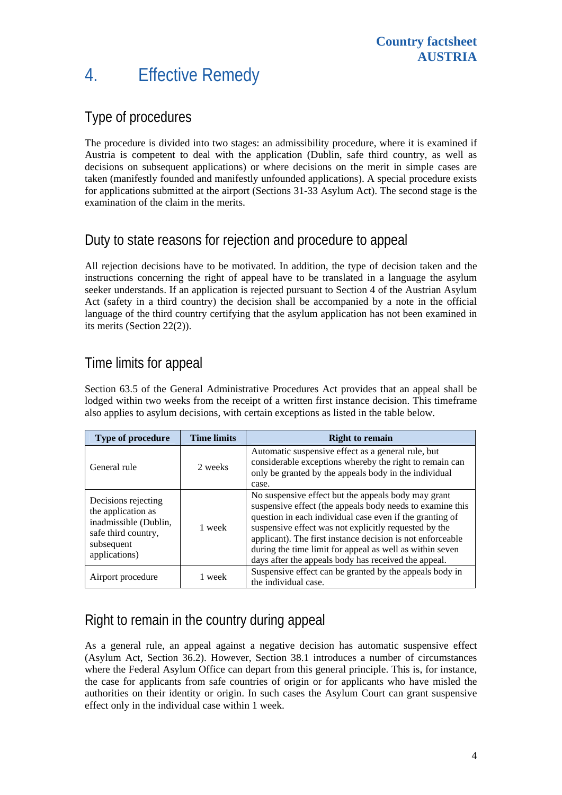## 4. Effective Remedy

### Type of procedures

The procedure is divided into two stages: an admissibility procedure, where it is examined if Austria is competent to deal with the application (Dublin, safe third country, as well as decisions on subsequent applications) or where decisions on the merit in simple cases are taken (manifestly founded and manifestly unfounded applications). A special procedure exists for applications submitted at the airport (Sections 31-33 Asylum Act). The second stage is the examination of the claim in the merits.

## Duty to state reasons for rejection and procedure to appeal

All rejection decisions have to be motivated. In addition, the type of decision taken and the instructions concerning the right of appeal have to be translated in a language the asylum seeker understands. If an application is rejected pursuant to Section 4 of the Austrian Asylum Act (safety in a third country) the decision shall be accompanied by a note in the official language of the third country certifying that the asylum application has not been examined in its merits (Section 22(2)).

### Time limits for appeal

Section 63.5 of the General Administrative Procedures Act provides that an appeal shall be lodged within two weeks from the receipt of a written first instance decision. This timeframe also applies to asylum decisions, with certain exceptions as listed in the table below.

| <b>Type of procedure</b>                                                                                                 | <b>Time limits</b> | <b>Right to remain</b>                                                                                                                                                                                                                                                                                                                                                                                                  |  |
|--------------------------------------------------------------------------------------------------------------------------|--------------------|-------------------------------------------------------------------------------------------------------------------------------------------------------------------------------------------------------------------------------------------------------------------------------------------------------------------------------------------------------------------------------------------------------------------------|--|
| General rule                                                                                                             | 2 weeks            | Automatic suspensive effect as a general rule, but<br>considerable exceptions whereby the right to remain can<br>only be granted by the appeals body in the individual<br>case.                                                                                                                                                                                                                                         |  |
| Decisions rejecting<br>the application as<br>inadmissible (Dublin,<br>safe third country,<br>subsequent<br>applications) | 1 week             | No suspensive effect but the appeals body may grant<br>suspensive effect (the appeals body needs to examine this<br>question in each individual case even if the granting of<br>suspensive effect was not explicitly requested by the<br>applicant). The first instance decision is not enforceable<br>during the time limit for appeal as well as within seven<br>days after the appeals body has received the appeal. |  |
| Airport procedure                                                                                                        | week               | Suspensive effect can be granted by the appeals body in<br>the individual case.                                                                                                                                                                                                                                                                                                                                         |  |

## Right to remain in the country during appeal

As a general rule, an appeal against a negative decision has automatic suspensive effect (Asylum Act, Section 36.2). However, Section 38.1 introduces a number of circumstances where the Federal Asylum Office can depart from this general principle. This is, for instance, the case for applicants from safe countries of origin or for applicants who have misled the authorities on their identity or origin. In such cases the Asylum Court can grant suspensive effect only in the individual case within 1 week.